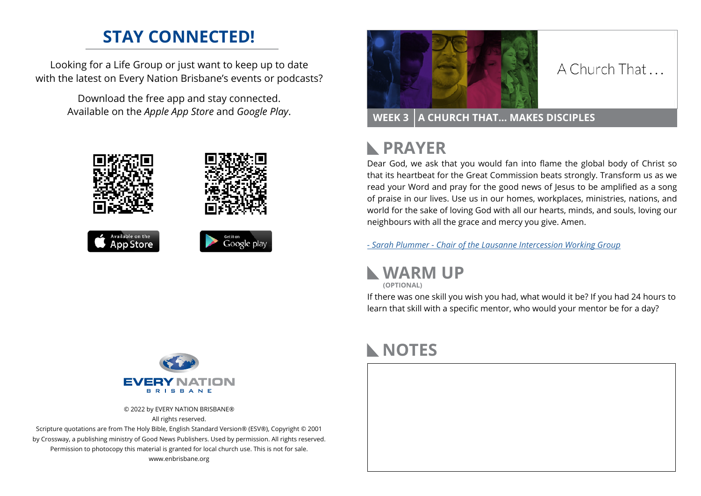# **STAY CONNECTED!**

Looking for a Life Group or just want to keep up to date with the latest on Every Nation Brisbane's events or podcasts?

> Download the free app and stay connected. Available on the *Apple App Store* and *Google Play*.





### A Church That

**WEEK 3 A CHURCH THAT… MAKES DISCIPLES**

### **PRAYER**  $\mathbb{R}$

Dear God, we ask that you would fan into flame the global body of Christ so that its heartbeat for the Great Commission beats strongly. Transform us as we read your Word and pray for the good news of Jesus to be amplified as a song of praise in our lives. Use us in our homes, workplaces, ministries, nations, and world for the sake of loving God with all our hearts, minds, and souls, loving our neighbours with all the grace and mercy you give. Amen.

*[- S](https://lausanne.org/leader/sarah-plummer-chair-intercessory-working-group)arah Plummer - Chair of the Lausanne Intercession Working Group*



**(OPTIONAL)**

If there was one skill you wish you had, what would it be? If you had 24 hours to learn that skill with a specific mentor, who would your mentor be for a day?



© 2022 by EVERY NATION BRISBANE® All rights reserved.

Scripture quotations are from The Holy Bible, English Standard Version® (ESV®), Copyright © 2001 by Crossway, a publishing ministry of Good News Publishers. Used by permission. All rights reserved. Permission to photocopy this material is granted for local church use. This is not for sale. www.enbrisbane.org

## **NOTES**